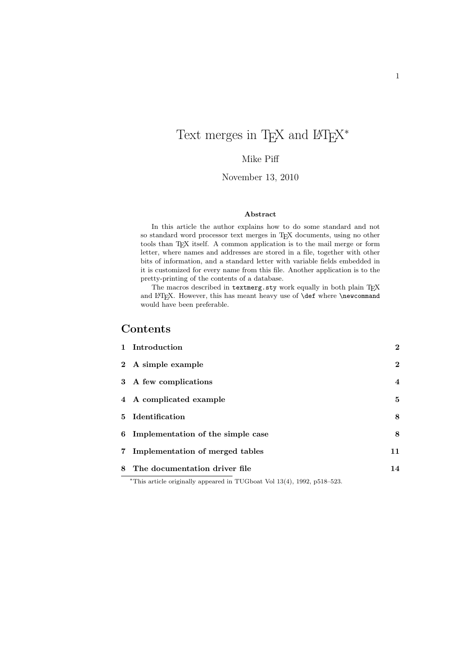# Text merges in T<sub>E</sub>X and  $\rm \mathbb{F}T_{E}X^{*}$

#### Mike Piff

#### November 13, 2010

#### Abstract

In this article the author explains how to do some standard and not so standard word processor text merges in TEX documents, using no other tools than TEX itself. A common application is to the mail merge or form letter, where names and addresses are stored in a file, together with other bits of information, and a standard letter with variable fields embedded in it is customized for every name from this file. Another application is to the pretty-printing of the contents of a database.

The macros described in textmerg.sty work equally in both plain TEX and LATEX. However, this has meant heavy use of **\def** where **\newcommand** would have been preferable.

#### Contents

| 8 The documentation driver file     | 14             |
|-------------------------------------|----------------|
| 7 Implementation of merged tables   | 11             |
| 6 Implementation of the simple case | 8              |
| 5 Identification                    | 8              |
| 4 A complicated example             | 5              |
| 3 A few complications               | $\overline{4}$ |
| 2 A simple example                  | $\overline{2}$ |
| 1 Introduction                      | $\overline{2}$ |

<sup>∗</sup>This article originally appeared in TUGboat Vol 13(4), 1992, p518–523.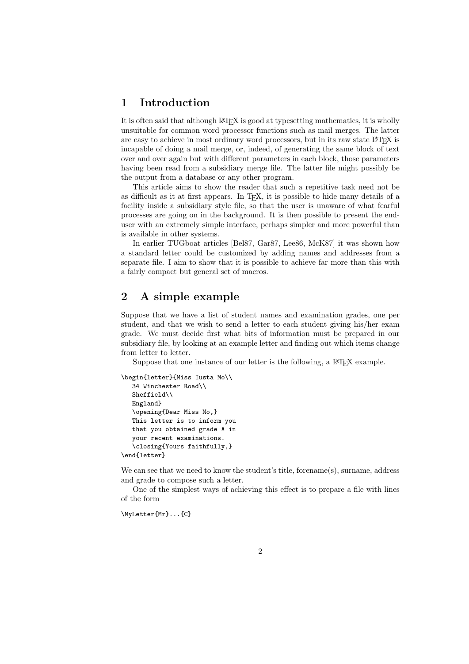## 1 Introduction

It is often said that although LATEX is good at typesetting mathematics, it is wholly unsuitable for common word processor functions such as mail merges. The latter are easy to achieve in most ordinary word processors, but in its raw state LATEX is incapable of doing a mail merge, or, indeed, of generating the same block of text over and over again but with different parameters in each block, those parameters having been read from a subsidiary merge file. The latter file might possibly be the output from a database or any other program.

This article aims to show the reader that such a repetitive task need not be as difficult as it at first appears. In TEX, it is possible to hide many details of a facility inside a subsidiary style file, so that the user is unaware of what fearful processes are going on in the background. It is then possible to present the enduser with an extremely simple interface, perhaps simpler and more powerful than is available in other systems.

In earlier TUGboat articles [Bel87, Gar87, Lee86, McK87] it was shown how a standard letter could be customized by adding names and addresses from a separate file. I aim to show that it is possible to achieve far more than this with a fairly compact but general set of macros.

## 2 A simple example

Suppose that we have a list of student names and examination grades, one per student, and that we wish to send a letter to each student giving his/her exam grade. We must decide first what bits of information must be prepared in our subsidiary file, by looking at an example letter and finding out which items change from letter to letter.

Suppose that one instance of our letter is the following, a LAT<sub>EX</sub> example.

```
\begin{letter}{Miss Iusta Mo\\
  34 Winchester Road\\
  Sheffield\\
  England}
   \opening{Dear Miss Mo,}
   This letter is to inform you
   that you obtained grade A in
   your recent examinations.
   \closing{Yours faithfully,}
\end{letter}
```
We can see that we need to know the student's title, forename(s), surname, address and grade to compose such a letter.

One of the simplest ways of achieving this effect is to prepare a file with lines of the form

\MyLetter{Mr}...{C}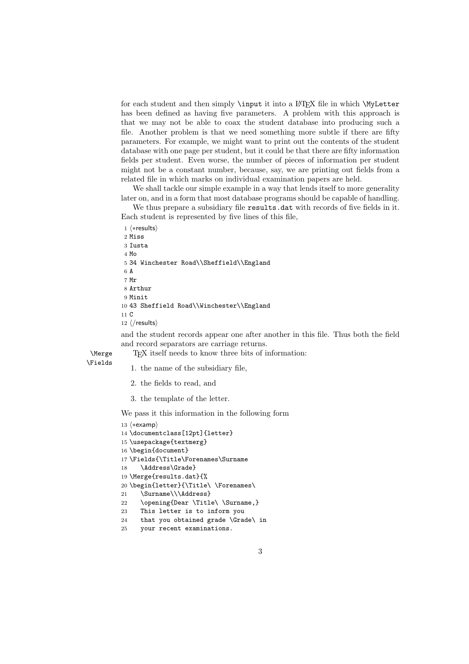for each student and then simply **\input** it into a L<sup>AT</sup>EX file in which **\MyLetter** has been defined as having five parameters. A problem with this approach is that we may not be able to coax the student database into producing such a file. Another problem is that we need something more subtle if there are fifty parameters. For example, we might want to print out the contents of the student database with one page per student, but it could be that there are fifty information fields per student. Even worse, the number of pieces of information per student might not be a constant number, because, say, we are printing out fields from a related file in which marks on individual examination papers are held.

We shall tackle our simple example in a way that lends itself to more generality later on, and in a form that most database programs should be capable of handling.

We thus prepare a subsidiary file results.dat with records of five fields in it. Each student is represented by five lines of this file,

```
1 \langle *results \rangle2 Miss
 3 Iusta
 4 Mo
 5 34 Winchester Road\\Sheffield\\England
 6 A
 7 Mr
 8 Arthur
9 Minit
10 43 Sheffield Road\\Winchester\\England
11 C
12 \langle/results\rangle
```
and the student records appear one after another in this file. Thus both the field and record separators are carriage returns.

\Merge TEX itself needs to know three bits of information:

\Fields 1. the name of the subsidiary file,

- 2. the fields to read, and
- 3. the template of the letter.

We pass it this information in the following form

```
13 \langle*examp\rangle14 \documentclass[12pt]{letter}
15 \usepackage{textmerg}
16 \begin{document}
17 \Fields{\Title\Forenames\Surname
18 \Address\Grade}
19 \Merge{results.dat}{%
20 \begin{letter}{\Title\ \Forenames\
21 \Surname\\\Address}
22 \opening{Dear \Title\ \Surname,}
23 This letter is to inform you
24 that you obtained grade \Grade\ in
```

```
25 your recent examinations.
```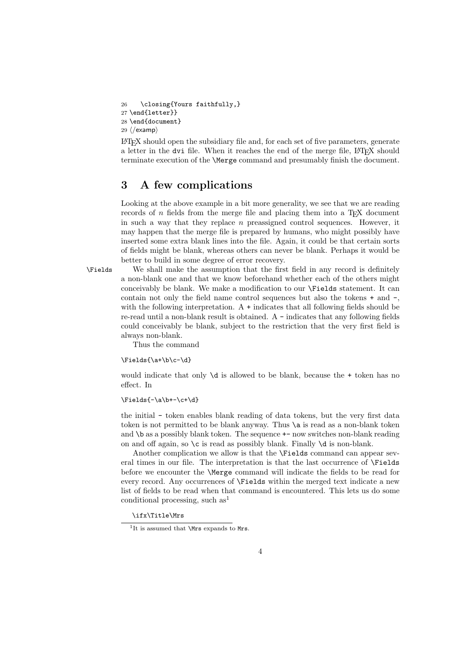\closing{Yours faithfully,} \end{letter}} \end{document}  $\langle$ /examp $\rangle$ 

LATEX should open the subsidiary file and, for each set of five parameters, generate a letter in the dvi file. When it reaches the end of the merge file, LATEX should terminate execution of the \Merge command and presumably finish the document.

## 3 A few complications

Looking at the above example in a bit more generality, we see that we are reading records of  $n$  fields from the merge file and placing them into a T<sub>E</sub>X document in such a way that they replace  $n$  preassigned control sequences. However, it may happen that the merge file is prepared by humans, who might possibly have inserted some extra blank lines into the file. Again, it could be that certain sorts of fields might be blank, whereas others can never be blank. Perhaps it would be better to build in some degree of error recovery.

\Fields We shall make the assumption that the first field in any record is definitely a non-blank one and that we know beforehand whether each of the others might conceivably be blank. We make a modification to our \Fields statement. It can contain not only the field name control sequences but also the tokens + and -, with the following interpretation. A + indicates that all following fields should be re-read until a non-blank result is obtained. A - indicates that any following fields could conceivably be blank, subject to the restriction that the very first field is always non-blank.

Thus the command

\Fields{\a+\b\c-\d}

would indicate that only  $\ddot{o}$  is allowed to be blank, because the + token has no effect. In

#### $\left\{\frac{-\a\b+-\c+\d}$

the initial - token enables blank reading of data tokens, but the very first data token is not permitted to be blank anyway. Thus \a is read as a non-blank token and  $\b$  as a possibly blank token. The sequence  $+-$  now switches non-blank reading on and off again, so  $\c$  is read as possibly blank. Finally  $\d$  is non-blank.

Another complication we allow is that the \Fields command can appear several times in our file. The interpretation is that the last occurrence of \Fields before we encounter the \Merge command will indicate the fields to be read for every record. Any occurrences of \Fields within the merged text indicate a new list of fields to be read when that command is encountered. This lets us do some conditional processing, such  $as<sup>1</sup>$ 

\ifx\Title\Mrs

<sup>&</sup>lt;sup>1</sup>It is assumed that **\Mrs** expands to Mrs.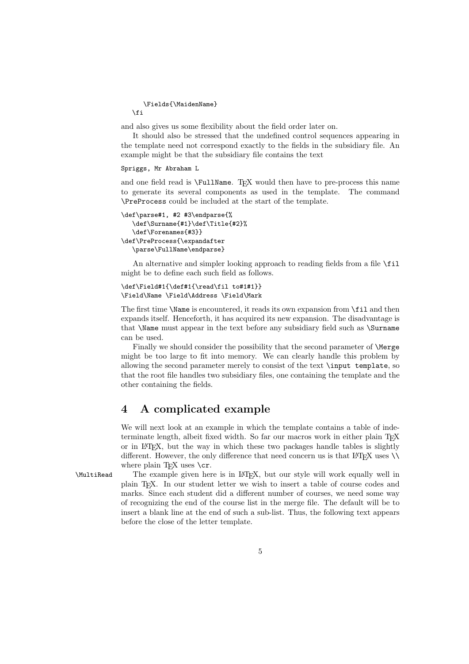\Fields{\MaidenName} \fi

and also gives us some flexibility about the field order later on.

It should also be stressed that the undefined control sequences appearing in the template need not correspond exactly to the fields in the subsidiary file. An example might be that the subsidiary file contains the text

#### Spriggs, Mr Abraham L

and one field read is \FullName. T<sub>EX</sub> would then have to pre-process this name to generate its several components as used in the template. The command \PreProcess could be included at the start of the template.

```
\def\parse#1, #2 #3\endparse{%
  \def\Surname{#1}\def\Title{#2}%
  \def\Forenames{#3}}
\def\PreProcess{\expandafter
  \parse\FullName\endparse}
```
An alternative and simpler looking approach to reading fields from a file \fil might be to define each such field as follows.

```
\def\Field#1{\def#1{\read\fil to#1#1}}
\Field\Name \Field\Address \Field\Mark
```
The first time \Name is encountered, it reads its own expansion from \fil and then expands itself. Henceforth, it has acquired its new expansion. The disadvantage is that \Name must appear in the text before any subsidiary field such as \Surname can be used.

Finally we should consider the possibility that the second parameter of \Merge might be too large to fit into memory. We can clearly handle this problem by allowing the second parameter merely to consist of the text \input template, so that the root file handles two subsidiary files, one containing the template and the other containing the fields.

## 4 A complicated example

We will next look at an example in which the template contains a table of indeterminate length, albeit fixed width. So far our macros work in either plain T<sub>E</sub>X or in LATEX, but the way in which these two packages handle tables is slightly different. However, the only difference that need concern us is that  $\mathbb{F}(\mathbb{F}(\mathbb{X}))$  uses  $\setminus \setminus$ where plain T<sub>EX</sub> uses  $\csc$ .

\MultiRead The example given here is in LATEX, but our style will work equally well in plain TEX. In our student letter we wish to insert a table of course codes and marks. Since each student did a different number of courses, we need some way of recognizing the end of the course list in the merge file. The default will be to insert a blank line at the end of such a sub-list. Thus, the following text appears before the close of the letter template.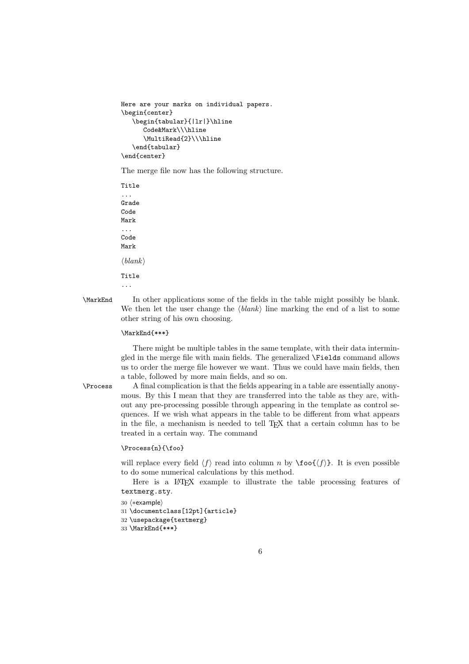```
Here are your marks on individual papers.
\begin{center}
   \begin{tabular}{|lr|}\hline
      Code&Mark\\\hline
      \MultiRead{2}\\\hline
   \end{tabular}
\end{center}
```
The merge file now has the following structure.

Title ... Grade Code Mark ... Code Mark  $\langle blank \rangle$ Title ...

\MarkEnd In other applications some of the fields in the table might possibly be blank. We then let the user change the  $\langle blank \rangle$  line marking the end of a list to some other string of his own choosing.

#### \MarkEnd{\*\*\*}

There might be multiple tables in the same template, with their data intermingled in the merge file with main fields. The generalized \Fields command allows us to order the merge file however we want. Thus we could have main fields, then a table, followed by more main fields, and so on.

\Process A final complication is that the fields appearing in a table are essentially anonymous. By this I mean that they are transferred into the table as they are, without any pre-processing possible through appearing in the template as control sequences. If we wish what appears in the table to be different from what appears in the file, a mechanism is needed to tell TEX that a certain column has to be treated in a certain way. The command

#### \Process{n}{\foo}

will replace every field  $\langle f \rangle$  read into column n by  $\text{100} \{ \langle f \rangle \}$ . It is even possible to do some numerical calculations by this method.

Here is a LAT<sub>E</sub>X example to illustrate the table processing features of textmerg.sty.

```
30 \langle*example\rangle
```
31 \documentclass[12pt]{article}

```
32 \usepackage{textmerg}
```

```
33 \MarkEnd{***}
```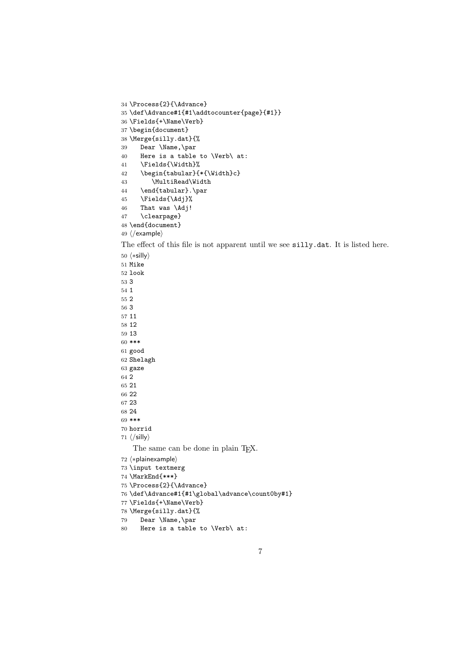```
34 \Process{2}{\Advance}
35 \def\Advance#1{#1\addtocounter{page}{#1}}
36 \Fields{+\Name\Verb}
37 \begin{document}
38 \Merge{silly.dat}{%
39 Dear \Name,\par
40 Here is a table to \Verb\ at:
41 \Fields{\Width}%
42 \begin{tabular}{*{\Width}c}
43 \MultiRead\Width
44 \end{tabular}.\par
45 \Fields{\Adj}%
46 That was \Adj!
47 \clearpage}
48 \end{document}
49 \langle/example\rangleThe effect of this file is not apparent until we see silly.dat. It is listed here.
50 \langle \ast \mathsf{silly} \rangle51 Mike
52 look
53 3
54 1
55 2
56 3
57 11
58 12
59 13
60 ***
61 good
62 Shelagh
63 gaze
64\,265 21
66 22
67 23
68 24
69 ***
70 horrid
71 \langle /sl \rangleThe same can be done in plain T<sub>E</sub>X.
72 (*plainexample)
73 \input textmerg
74 \MarkEnd{***}
75 \Process{2}{\Advance}
76 \def\Advance#1{#1\global\advance\count0by#1}
77 \Fields{+\Name\Verb}
78 \Merge{silly.dat}{%
79 Dear \Name,\par
80 Here is a table to \Verb\ at:
```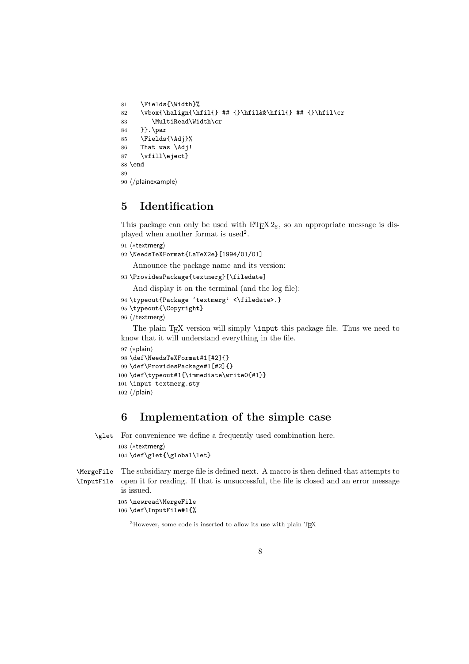```
81 \Fields{\Width}%
82 \vbox{\halign{\hfil{} ## {}\hfil&&\hfil{} ## {}\hfil\cr
83 \MultiRead\Width\cr
84 }}.\par
85 \Fields{\Adj}%
86 That was \Adj!
87 \vfill\eject}
88 \end
89
90 (/plainexample)
```
# 5 Identification

This package can only be used with  $\text{LATEX } 2\varepsilon$ , so an appropriate message is displayed when another format is used<sup>2</sup>.

```
91 \langle*textmerg)
```

```
92 \NeedsTeXFormat{LaTeX2e}[1994/01/01]
```
Announce the package name and its version:

```
93 \ProvidesPackage{textmerg}[\filedate]
```
And display it on the terminal (and the log file):

```
94 \typeout{Package 'textmerg' <\filedate>.}
```

```
95 \typeout{\Copyright}
```

```
96 (/textmerg)
```
The plain T<sub>EX</sub> version will simply \input this package file. Thus we need to know that it will understand everything in the file.

```
97 \langle *plain \rangle98 \def\NeedsTeXFormat#1[#2]{}
 99 \def\ProvidesPackage#1[#2]{}
100 \def\typeout#1{\immediate\write0{#1}}
101 \input textmerg.sty
102 \langle / \text{plain} \rangle
```
## 6 Implementation of the simple case

\glet For convenience we define a frequently used combination here.

```
103 (*textmerg)
104 \def\glet{\global\let}
```
\MergeFile The subsidiary merge file is defined next. A macro is then defined that attempts to \InputFile open it for reading. If that is unsuccessful, the file is closed and an error message is issued.

```
105 \newread\MergeFile
106 \def\InputFile#1{%
```
<sup>&</sup>lt;sup>2</sup>However, some code is inserted to allow its use with plain T<sub>E</sub>X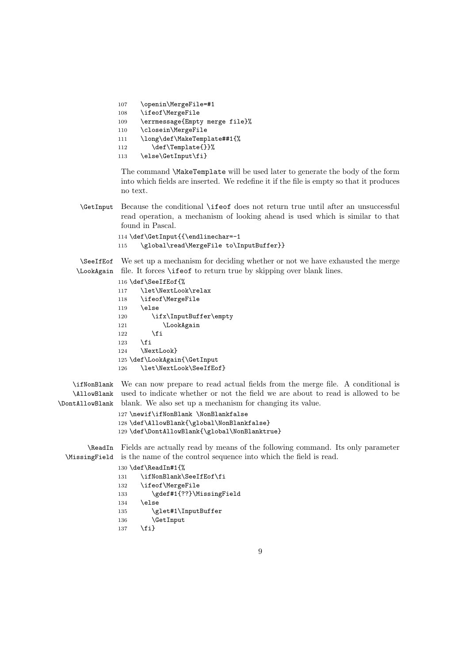```
107 \openin\MergeFile=#1
108 \ifeof\MergeFile
109 \errmessage{Empty merge file}%
110 \closein\MergeFile
111 \long\def\MakeTemplate##1{%
112 \def\Template{}}%
113 \else\GetInput\fi}
```
The command \MakeTemplate will be used later to generate the body of the form into which fields are inserted. We redefine it if the file is empty so that it produces no text.

\GetInput Because the conditional \ifeof does not return true until after an unsuccessful read operation, a mechanism of looking ahead is used which is similar to that found in Pascal.

```
114 \def\GetInput{{\endlinechar=-1
115 \global\read\MergeFile to\InputBuffer}}
```
\SeeIfEof We set up a mechanism for deciding whether or not we have exhausted the merge \LookAgain file. It forces \ifeof to return true by skipping over blank lines.

```
116 \def\SeeIfEof{%
117 \let\NextLook\relax
118 \ifeof\MergeFile
119 \else
120 \ifx\InputBuffer\empty
121 \LookAgain
122 \qquad \text{if}123 \ifmmode{\big\vert} \else{ 123 \fi 125
124 \NextLook}
125 \def\LookAgain{\GetInput
126 \let\NextLook\SeeIfEof}
```
\ifNonBlank We can now prepare to read actual fields from the merge file. A conditional is \AllowBlank used to indicate whether or not the field we are about to read is allowed to be \DontAllowBlank blank. We also set up a mechanism for changing its value.

```
127 \newif\ifNonBlank \NonBlankfalse
128 \def\AllowBlank{\global\NonBlankfalse}
129 \def\DontAllowBlank{\global\NonBlanktrue}
```
\ReadIn Fields are actually read by means of the following command. Its only parameter \MissingField is the name of the control sequence into which the field is read.

```
130 \def\ReadIn#1{%
131 \ifNonBlank\SeeIfEof\fi
132 \ifeof\MergeFile
133 \gdef#1{??}\MissingField
134 \else
135 \glet#1\InputBuffer
```

```
136 \GetInput
```

```
137 \fi}
```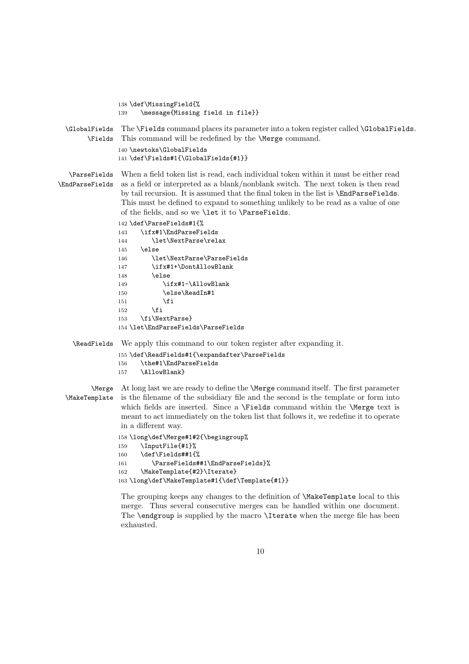|                                 | 138 \def\MissingField{%                                                                                                                                                                                                                                                                                                                                                                                              |
|---------------------------------|----------------------------------------------------------------------------------------------------------------------------------------------------------------------------------------------------------------------------------------------------------------------------------------------------------------------------------------------------------------------------------------------------------------------|
|                                 | \message{Missing field in file}}<br>139                                                                                                                                                                                                                                                                                                                                                                              |
| \GlobalFields<br>\Fields        | The \Fields command places its parameter into a token register called \GlobalFields.<br>This command will be redefined by the <i>Merge</i> command.                                                                                                                                                                                                                                                                  |
|                                 | 140 \newtoks\GlobalFields                                                                                                                                                                                                                                                                                                                                                                                            |
|                                 | 141 \def\Fields#1{\GlobalFields{#1}}                                                                                                                                                                                                                                                                                                                                                                                 |
| \ParseFields<br>\EndParseFields | When a field token list is read, each individual token within it must be either read<br>as a field or interpreted as a blank/nonblank switch. The next token is then read<br>by tail recursion. It is assumed that the final token in the list is <b>\EndParseFields</b> .<br>This must be defined to expand to something unlikely to be read as a value of one<br>of the fields, and so we \let it to \ParseFields. |
|                                 | 142 \def\ParseFields#1{%                                                                                                                                                                                                                                                                                                                                                                                             |
|                                 | \ifx#1\EndParseFields<br>143                                                                                                                                                                                                                                                                                                                                                                                         |
|                                 | \let\NextParse\relax<br>144                                                                                                                                                                                                                                                                                                                                                                                          |
|                                 | \else<br>145                                                                                                                                                                                                                                                                                                                                                                                                         |
|                                 | \let\NextParse\ParseFields<br>146                                                                                                                                                                                                                                                                                                                                                                                    |
|                                 | \ifx#1+\DontAllowBlank<br>147                                                                                                                                                                                                                                                                                                                                                                                        |
|                                 | \else<br>148                                                                                                                                                                                                                                                                                                                                                                                                         |
|                                 | \ifx#1-\AllowBlank<br>149                                                                                                                                                                                                                                                                                                                                                                                            |
|                                 | \else\ReadIn#1<br>150                                                                                                                                                                                                                                                                                                                                                                                                |
|                                 | \fi<br>151                                                                                                                                                                                                                                                                                                                                                                                                           |
|                                 | \fi<br>152                                                                                                                                                                                                                                                                                                                                                                                                           |
|                                 | \fi\NextParse}<br>153<br>154 \let\EndParseFields\ParseFields                                                                                                                                                                                                                                                                                                                                                         |
|                                 |                                                                                                                                                                                                                                                                                                                                                                                                                      |
| \ReadFields                     | We apply this command to our token register after expanding it.                                                                                                                                                                                                                                                                                                                                                      |
|                                 | 155 \def\ReadFields#1{\expandafter\ParseFields                                                                                                                                                                                                                                                                                                                                                                       |
|                                 | \the#1\EndParseFields<br>156                                                                                                                                                                                                                                                                                                                                                                                         |
|                                 | \AllowBlank}<br>157                                                                                                                                                                                                                                                                                                                                                                                                  |
| <i>Nerge</i>                    | At long last we are ready to define the <i>Merge</i> command itself. The first parameter                                                                                                                                                                                                                                                                                                                             |
| \MakeTemplate                   | is the filename of the subsidiary file and the second is the template or form into<br>which fields are inserted. Since a \Fields command within the \Merge text is<br>meant to act immediately on the token list that follows it, we redefine it to operate<br>in a different way.                                                                                                                                   |
|                                 | 158 \long\def\Merge#1#2{\begingroup%                                                                                                                                                                                                                                                                                                                                                                                 |
|                                 | 159 \InputFile{#1}%                                                                                                                                                                                                                                                                                                                                                                                                  |
|                                 | \def\Fields##1{%<br>160                                                                                                                                                                                                                                                                                                                                                                                              |
|                                 | \ParseFields##1\EndParseFields}%<br>161                                                                                                                                                                                                                                                                                                                                                                              |
|                                 | \MakeTemplate{#2}\Iterate}<br>162                                                                                                                                                                                                                                                                                                                                                                                    |
|                                 | 163\long\def\MakeTemplate#1{\def\Template{#1}}                                                                                                                                                                                                                                                                                                                                                                       |
|                                 | The grouping keeps any changes to the definition of <i>MakeTemplate</i> local to this<br>merge. Thus several consecutive merges can be handled within one document.<br>The <b>\endgroup</b> is supplied by the macro <b>\Iterate</b> when the merge file has been                                                                                                                                                    |

exhausted.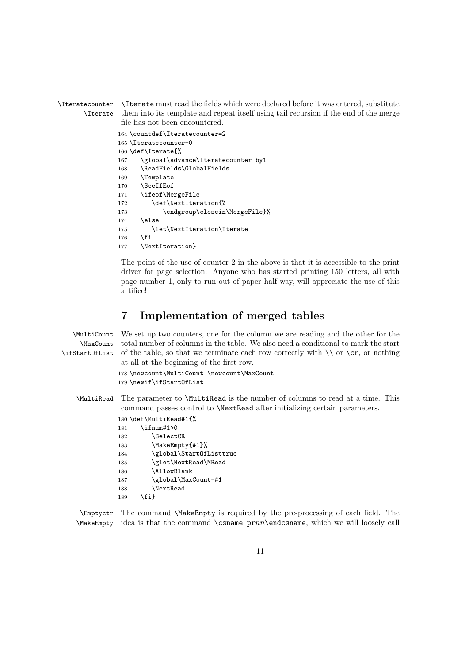\Iteratecounter \Iterate \Iterate must read the fields which were declared before it was entered, substitute them into its template and repeat itself using tail recursion if the end of the merge file has not been encountered.

```
164 \countdef\Iteratecounter=2
165 \Iteratecounter=0
166 \def\Iterate{%
167 \global\advance\Iteratecounter by1
168 \ReadFields\GlobalFields
169 \Template
170 \SeeIfEof
171 \ifeof\MergeFile
172 \def\NextIteration{%
173 \endgroup\closein\MergeFile}%
174 \else
175 \let\NextIteration\Iterate
176 \fi
177 \NextIteration}
```
The point of the use of counter 2 in the above is that it is accessible to the print driver for page selection. Anyone who has started printing 150 letters, all with page number 1, only to run out of paper half way, will appreciate the use of this artifice!

## 7 Implementation of merged tables

| \MultiCount<br><b>\MaxCount</b><br>\ifStartOfList | We set up two counters, one for the column we are reading and the other for the<br>total number of columns in the table. We also need a conditional to mark the start<br>of the table, so that we terminate each row correctly with $\setminus \setminus$ or $\setminus c$ , or nothing<br>at all at the beginning of the first row. |  |  |  |
|---------------------------------------------------|--------------------------------------------------------------------------------------------------------------------------------------------------------------------------------------------------------------------------------------------------------------------------------------------------------------------------------------|--|--|--|
|                                                   | 178 \newcount\MultiCount \newcount\MaxCount<br>179 \newif\ifStartOfList                                                                                                                                                                                                                                                              |  |  |  |
| \MultiRead                                        | The parameter to <i>MultiRead</i> is the number of columns to read at a time. This<br>command passes control to <i>NextRead after initializing certain parameters</i> .                                                                                                                                                              |  |  |  |
|                                                   | 180 \def\MultiRead#1{%                                                                                                                                                                                                                                                                                                               |  |  |  |
|                                                   | \ifnum#1>0<br>181                                                                                                                                                                                                                                                                                                                    |  |  |  |
|                                                   | <b>\SelectCR</b><br>182                                                                                                                                                                                                                                                                                                              |  |  |  |
|                                                   | \MakeEmpty{#1}%<br>183                                                                                                                                                                                                                                                                                                               |  |  |  |
|                                                   | \global\Start0fListtrue<br>184                                                                                                                                                                                                                                                                                                       |  |  |  |
|                                                   | \glet\NextRead\MRead<br>185                                                                                                                                                                                                                                                                                                          |  |  |  |
|                                                   | \AllowBlank<br>186                                                                                                                                                                                                                                                                                                                   |  |  |  |
|                                                   | \global\MaxCount=#1<br>187                                                                                                                                                                                                                                                                                                           |  |  |  |
|                                                   | \NextRead<br>188                                                                                                                                                                                                                                                                                                                     |  |  |  |

189 \fi}

\Emptyctr The command \MakeEmpty is required by the pre-processing of each field. The  $\mathbb N$  idea is that the command  $\Gamma$  prnn $\end{math}$  endcsname, which we will loosely call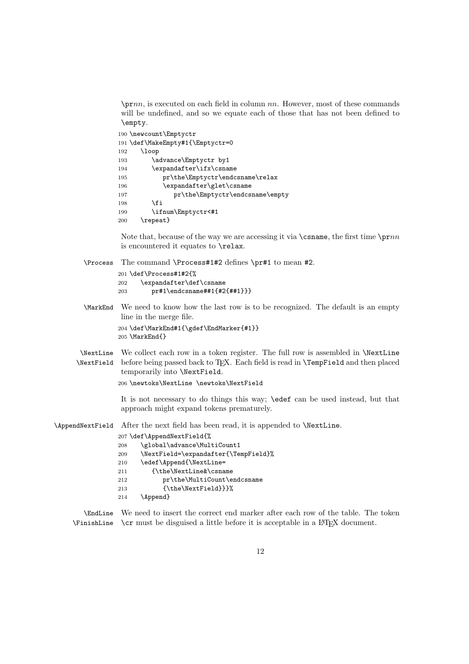$\prnn$ , is executed on each field in column nn. However, most of these commands will be undefined, and so we equate each of those that has not been defined to \empty.

| 190 \newcount\Emptyctr                 |  |
|----------------------------------------|--|
| 191 \def\MakeEmpty#1{\Emptyctr=0       |  |
| \loop<br>192                           |  |
| \advance\Emptyctr by1<br>193           |  |
| \expandafter\ifx\csname<br>194         |  |
| pr\the\Emptyctr\endcsname\relax<br>195 |  |
| \expandafter\glet\csname<br>196        |  |
| pr\the\Emptyctr\endcsname\empty<br>197 |  |
| <b>\fi</b><br>198                      |  |
| \ifnum\Emptyctr<#1<br>199              |  |
| \repeat}<br>200                        |  |

Note that, because of the way we are accessing it via  $\{\text{csname}, \text{the first time } \prime\}$ is encountered it equates to \relax.

\Process The command \Process#1#2 defines \pr#1 to mean #2.

```
201 \def\Process#1#2{%
202 \expandafter\def\csname
203 pr#1\endcsname##1{#2{##1}}}
```
\MarkEnd We need to know how the last row is to be recognized. The default is an empty line in the merge file.

> \def\MarkEnd#1{\gdef\EndMarker{#1}} \MarkEnd{}

\NextLine We collect each row in a token register. The full row is assembled in \NextLine \NextField before being passed back to TEX. Each field is read in \TempField and then placed temporarily into \NextField.

\newtoks\NextLine \newtoks\NextField

It is not necessary to do things this way; \edef can be used instead, but that approach might expand tokens prematurely.

\AppendNextField After the next field has been read, it is appended to \NextLine.

|     | 207 \def\AppendNextField{%           |
|-----|--------------------------------------|
| 208 | \global\advance\MultiCount1          |
| 209 | \NextField=\expandafter{\TempField}% |
| 210 | \edef\Append{\NextLine=              |
| 211 | {\the\NextLine&\csname               |
| 212 | pr\the\MultiCount\endcsname          |
| 213 | $\{\theta\}\}$                       |
| 214 | \Append}                             |
|     |                                      |

\EndLine We need to insert the correct end marker after each row of the table. The token  $\mathcal{F}$ inishLine  $\operatorname{car}$  must be disguised a little before it is acceptable in a LAT<sub>E</sub>X document.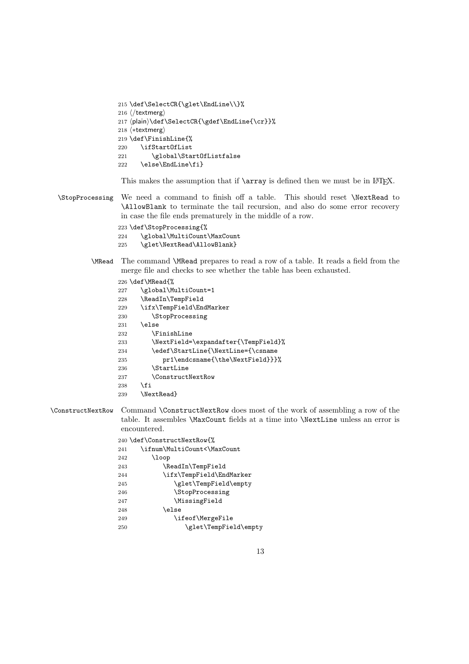```
215 \def\SelectCR{\glet\EndLine\\}%
216 \langle/textmerg\rangle217 (plain)\def\SelectCR{\gdef\EndLine{\cr}}%
218 \langle*textmerg}
219 \def\FinishLine{%
220 \ifStartOfList
221 \global\StartOfListfalse
222 \else\EndLine\fi}
```
This makes the assumption that if **\array** is defined then we must be in LATEX.

\StopProcessing We need a command to finish off a table. This should reset \NextRead to \AllowBlank to terminate the tail recursion, and also do some error recovery in case the file ends prematurely in the middle of a row.

\def\StopProcessing{%

- \global\MultiCount\MaxCount
- \glet\NextRead\AllowBlank}
- \MRead The command \MRead prepares to read a row of a table. It reads a field from the merge file and checks to see whether the table has been exhausted.

|     | 226 \def\MRead{%                     |
|-----|--------------------------------------|
| 227 | \global\MultiCount=1                 |
| 228 | \ReadIn\TempField                    |
| 229 | \ifx\TempField\EndMarker             |
| 230 | <i><b>StopProcessing</b></i>         |
| 231 | \else                                |
| 232 | <b>\FinishLine</b>                   |
| 233 | \NextField=\expandafter{\TempField}% |
| 234 | \edef\StartLine{\NextLine={\csname   |
| 235 | pr1\endcsname{\the\NextField}}}%     |
| 236 | <b>\StartLine</b>                    |
| 237 | <b>\ConstructNextRow</b>             |
| 238 | \fi                                  |
| 239 | \NextRead}                           |
|     |                                      |

\ConstructNextRow Command \ConstructNextRow does most of the work of assembling a row of the table. It assembles \MaxCount fields at a time into \NextLine unless an error is encountered.

|     | 240 \def\ConstructNextRow{%  |
|-----|------------------------------|
| 241 | \ifnum\MultiCount<\MaxCount  |
| 242 | \loop                        |
| 243 | \ReadIn\TempField            |
| 244 | \ifx\TempField\EndMarker     |
| 245 | \glet\TempField\empty        |
| 246 | <i><b>StopProcessing</b></i> |
| 247 | \MissingField                |
| 248 | \else                        |
| 249 | \ifeof\MergeFile             |
| 250 | \glet\TempField\empty        |
|     |                              |